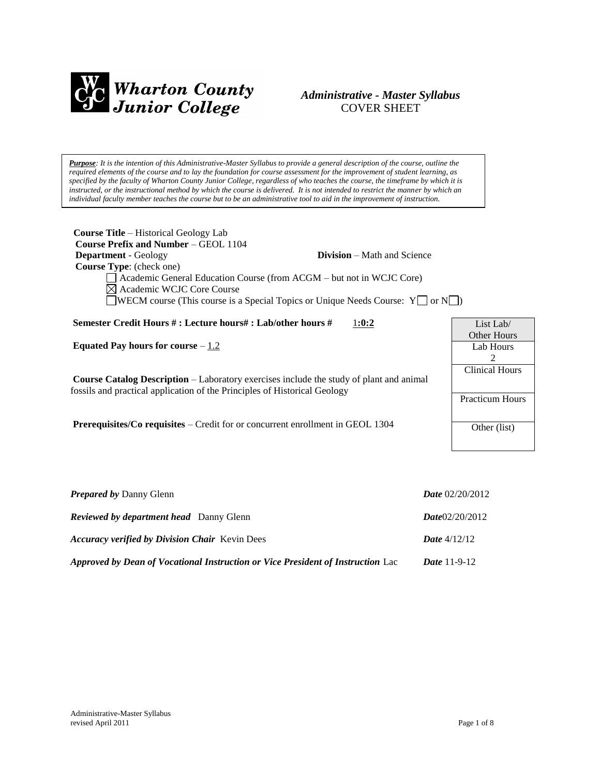

### *Administrative - Master Syllabus*  COVER SHEET

*Purpose: It is the intention of this Administrative-Master Syllabus to provide a general description of the course, outline the required elements of the course and to lay the foundation for course assessment for the improvement of student learning, as specified by the faculty of Wharton County Junior College, regardless of who teaches the course, the timeframe by which it is instructed, or the instructional method by which the course is delivered. It is not intended to restrict the manner by which an individual faculty member teaches the course but to be an administrative tool to aid in the improvement of instruction.*

| <b>Course Title</b> – Historical Geology Lab<br><b>Course Prefix and Number – GEOL 1104</b>                                                                                 |                        |
|-----------------------------------------------------------------------------------------------------------------------------------------------------------------------------|------------------------|
| <b>Department</b> - Geology<br><b>Division</b> – Math and Science                                                                                                           |                        |
| Course Type: (check one)                                                                                                                                                    |                        |
| Academic General Education Course (from ACGM – but not in WCJC Core)                                                                                                        |                        |
| $\boxtimes$ Academic WCJC Core Course                                                                                                                                       |                        |
| <b>JWECM</b> course (This course is a Special Topics or Unique Needs Course: $Y \cap Y$                                                                                     |                        |
|                                                                                                                                                                             |                        |
| Semester Credit Hours #: Lecture hours#: Lab/other hours #<br>1:0:2                                                                                                         | List Lab/              |
|                                                                                                                                                                             | <b>Other Hours</b>     |
| Equated Pay hours for course $-\underline{1.2}$                                                                                                                             | Lab Hours              |
|                                                                                                                                                                             | 2                      |
|                                                                                                                                                                             | <b>Clinical Hours</b>  |
| <b>Course Catalog Description</b> – Laboratory exercises include the study of plant and animal<br>fossils and practical application of the Principles of Historical Geology |                        |
|                                                                                                                                                                             | <b>Practicum Hours</b> |
|                                                                                                                                                                             |                        |
| <b>Prerequisites/Co requisites – Credit for or concurrent enrollment in GEOL 1304</b>                                                                                       | Other (list)           |
|                                                                                                                                                                             |                        |
|                                                                                                                                                                             |                        |

| <b>Prepared by Danny Glenn</b>                                                  | <i>Date</i> $02/20/2012$ |
|---------------------------------------------------------------------------------|--------------------------|
| <b>Reviewed by department head</b> Danny Glenn                                  | Date02/20/2012           |
| <b>Accuracy verified by Division Chair</b> Kevin Dees                           | <b>Date</b> $4/12/12$    |
| Approved by Dean of Vocational Instruction or Vice President of Instruction Lac | <i>Date</i> 11-9-12      |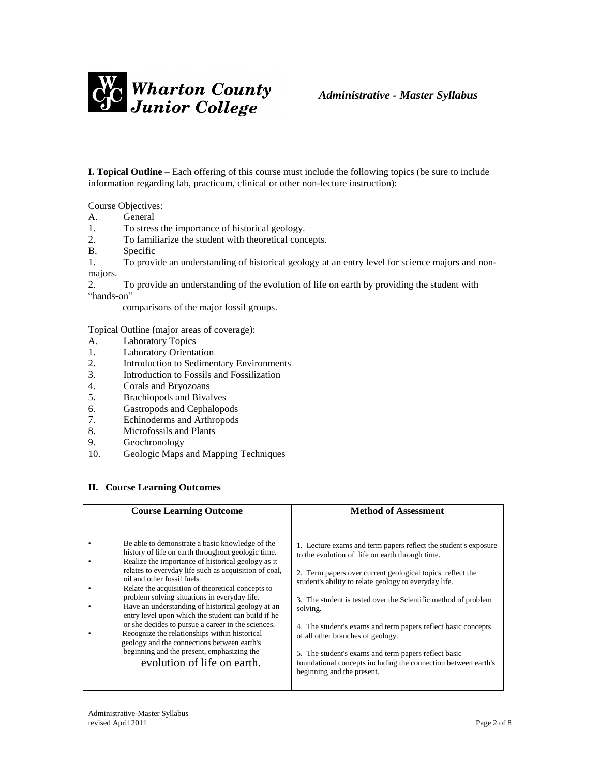

**I. Topical Outline** – Each offering of this course must include the following topics (be sure to include information regarding lab, practicum, clinical or other non-lecture instruction):

Course Objectives:

- A. General
- 1. To stress the importance of historical geology.
- 2. To familiarize the student with theoretical concepts.
- B. Specific
- 1. To provide an understanding of historical geology at an entry level for science majors and nonmajors.

2. To provide an understanding of the evolution of life on earth by providing the student with "hands-on"

comparisons of the major fossil groups.

Topical Outline (major areas of coverage):

- A. Laboratory Topics
- 1. Laboratory Orientation
- 2. Introduction to Sedimentary Environments
- 3. Introduction to Fossils and Fossilization
- 4. Corals and Bryozoans
- 5. Brachiopods and Bivalves
- 6. Gastropods and Cephalopods<br>7. Echinoderms and Arthropods
- Echinoderms and Arthropods
- 8. Microfossils and Plants
- 9. Geochronology
- 10. Geologic Maps and Mapping Techniques

#### **II. Course Learning Outcomes**

| <b>Course Learning Outcome</b>                                                                                                                                                                                                                                                                                                                                                                                                                                                                                                                                                                                                                                          | <b>Method of Assessment</b>                                                                                                                                                                                                                                                                                                                                                                                                                                                          |
|-------------------------------------------------------------------------------------------------------------------------------------------------------------------------------------------------------------------------------------------------------------------------------------------------------------------------------------------------------------------------------------------------------------------------------------------------------------------------------------------------------------------------------------------------------------------------------------------------------------------------------------------------------------------------|--------------------------------------------------------------------------------------------------------------------------------------------------------------------------------------------------------------------------------------------------------------------------------------------------------------------------------------------------------------------------------------------------------------------------------------------------------------------------------------|
| Be able to demonstrate a basic knowledge of the<br>history of life on earth throughout geologic time.<br>Realize the importance of historical geology as it<br>relates to everyday life such as acquisition of coal,<br>oil and other fossil fuels.<br>Relate the acquisition of theoretical concepts to<br>problem solving situations in everyday life.<br>Have an understanding of historical geology at an<br>entry level upon which the student can build if he<br>or she decides to pursue a career in the sciences.<br>Recognize the relationships within historical<br>geology and the connections between earth's<br>beginning and the present, emphasizing the | 1. Lecture exams and term papers reflect the student's exposure<br>to the evolution of life on earth through time.<br>2. Term papers over current geological topics reflect the<br>student's ability to relate geology to everyday life.<br>3. The student is tested over the Scientific method of problem<br>solving.<br>4. The student's exams and term papers reflect basic concepts<br>of all other branches of geology.<br>5. The student's exams and term papers reflect basic |
| evolution of life on earth.                                                                                                                                                                                                                                                                                                                                                                                                                                                                                                                                                                                                                                             | foundational concepts including the connection between earth's<br>beginning and the present.                                                                                                                                                                                                                                                                                                                                                                                         |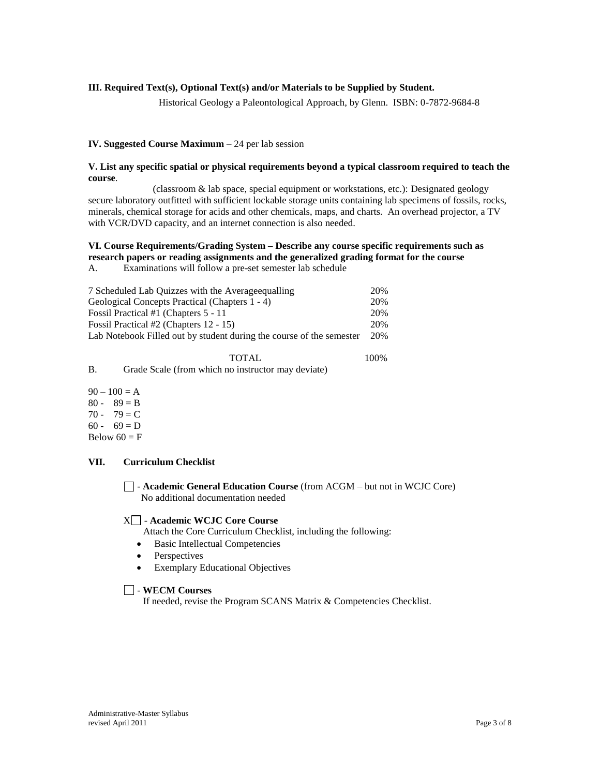### **III. Required Text(s), Optional Text(s) and/or Materials to be Supplied by Student.**

Historical Geology a Paleontological Approach, by Glenn. ISBN: 0-7872-9684-8

100%

#### **IV. Suggested Course Maximum** – 24 per lab session

#### **V. List any specific spatial or physical requirements beyond a typical classroom required to teach the course**.

 (classroom & lab space, special equipment or workstations, etc.): Designated geology secure laboratory outfitted with sufficient lockable storage units containing lab specimens of fossils, rocks, minerals, chemical storage for acids and other chemicals, maps, and charts. An overhead projector, a TV with VCR/DVD capacity, and an internet connection is also needed.

#### **VI. Course Requirements/Grading System – Describe any course specific requirements such as research papers or reading assignments and the generalized grading format for the course**

A. Examinations will follow a pre-set semester lab schedule

| 7 Scheduled Lab Quizzes with the Average equalling                   | 20%  |
|----------------------------------------------------------------------|------|
| Geological Concepts Practical (Chapters 1 - 4)                       | 20%  |
| Fossil Practical #1 (Chapters 5 - 11)                                | 20\% |
| Fossil Practical #2 (Chapters 12 - 15)                               | 20\% |
| Lab Notebook Filled out by student during the course of the semester | 20%  |
|                                                                      |      |

|   | <b>TOTAL</b>                                       |
|---|----------------------------------------------------|
| B | Grade Scale (from which no instructor may deviate) |

 $90 - 100 = A$  $80 - 89 = B$ 70 - 79 =  $C$  $60 - 69 = D$ Below  $60 = F$ 

#### **VII. Curriculum Checklist**

- **Academic General Education Course** (from ACGM – but not in WCJC Core) No additional documentation needed

#### X - **Academic WCJC Core Course**

Attach the Core Curriculum Checklist, including the following:

- Basic Intellectual Competencies
- Perspectives
- Exemplary Educational Objectives

### - **WECM Courses**

If needed, revise the Program SCANS Matrix & Competencies Checklist.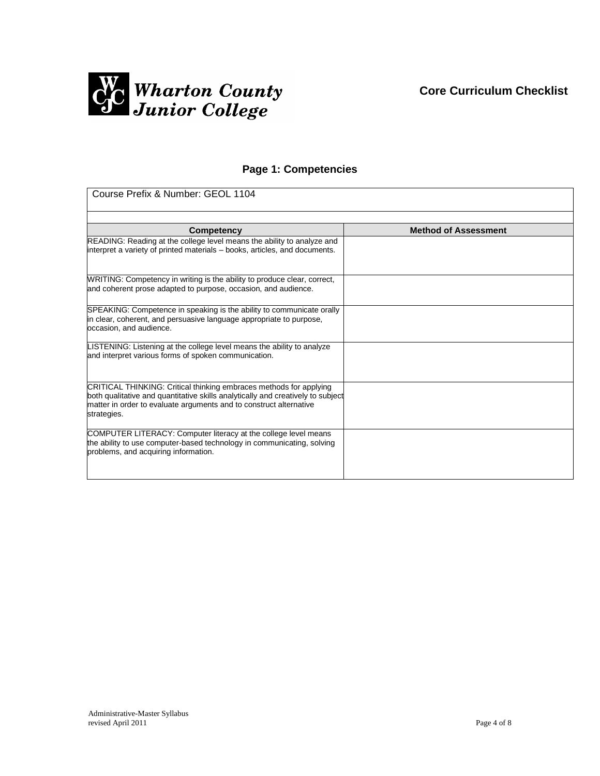

## **Page 1: Competencies**

| Course Prefix & Number: GEOL 1104                                                                                                                                                                                                          |                             |  |
|--------------------------------------------------------------------------------------------------------------------------------------------------------------------------------------------------------------------------------------------|-----------------------------|--|
|                                                                                                                                                                                                                                            |                             |  |
| Competency                                                                                                                                                                                                                                 | <b>Method of Assessment</b> |  |
| READING: Reading at the college level means the ability to analyze and<br>interpret a variety of printed materials – books, articles, and documents.                                                                                       |                             |  |
| WRITING: Competency in writing is the ability to produce clear, correct,<br>and coherent prose adapted to purpose, occasion, and audience.                                                                                                 |                             |  |
| SPEAKING: Competence in speaking is the ability to communicate orally<br>in clear, coherent, and persuasive language appropriate to purpose,<br>occasion, and audience.                                                                    |                             |  |
| LISTENING: Listening at the college level means the ability to analyze<br>and interpret various forms of spoken communication.                                                                                                             |                             |  |
| CRITICAL THINKING: Critical thinking embraces methods for applying<br>both qualitative and quantitative skills analytically and creatively to subject<br>matter in order to evaluate arguments and to construct alternative<br>strategies. |                             |  |
| COMPUTER LITERACY: Computer literacy at the college level means<br>the ability to use computer-based technology in communicating, solving<br>problems, and acquiring information.                                                          |                             |  |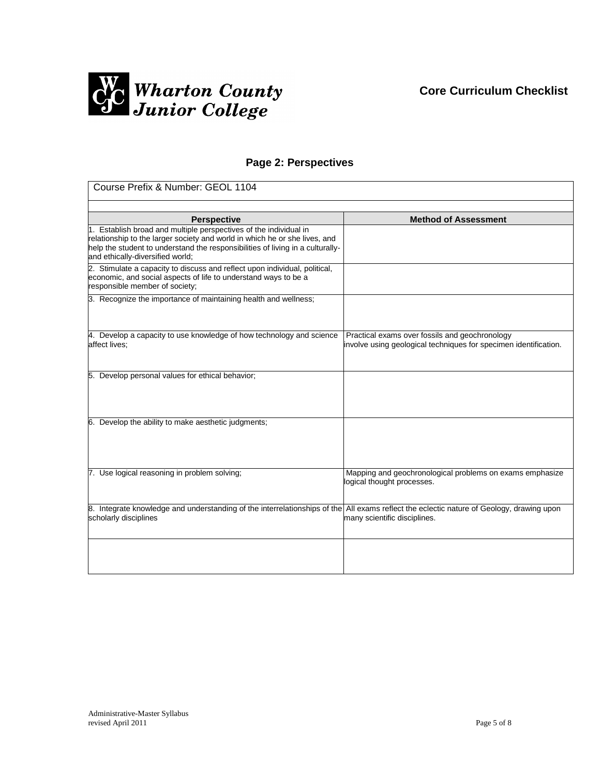

## **Page 2: Perspectives**

| Course Prefix & Number: GEOL 1104                                                                                                                                                                                                                                     |                                                                                                                    |  |
|-----------------------------------------------------------------------------------------------------------------------------------------------------------------------------------------------------------------------------------------------------------------------|--------------------------------------------------------------------------------------------------------------------|--|
|                                                                                                                                                                                                                                                                       |                                                                                                                    |  |
| <b>Perspective</b>                                                                                                                                                                                                                                                    | <b>Method of Assessment</b>                                                                                        |  |
| 1. Establish broad and multiple perspectives of the individual in<br>relationship to the larger society and world in which he or she lives, and<br>help the student to understand the responsibilities of living in a culturally-<br>and ethically-diversified world; |                                                                                                                    |  |
| 2. Stimulate a capacity to discuss and reflect upon individual, political,<br>economic, and social aspects of life to understand ways to be a<br>responsible member of society;                                                                                       |                                                                                                                    |  |
| 3. Recognize the importance of maintaining health and wellness;                                                                                                                                                                                                       |                                                                                                                    |  |
| 4. Develop a capacity to use knowledge of how technology and science<br>affect lives;                                                                                                                                                                                 | Practical exams over fossils and geochronology<br>involve using geological techniques for specimen identification. |  |
| 5. Develop personal values for ethical behavior;                                                                                                                                                                                                                      |                                                                                                                    |  |
| 6. Develop the ability to make aesthetic judgments;                                                                                                                                                                                                                   |                                                                                                                    |  |
| 7. Use logical reasoning in problem solving;                                                                                                                                                                                                                          | Mapping and geochronological problems on exams emphasize<br>logical thought processes.                             |  |
| 8. Integrate knowledge and understanding of the interrelationships of the All exams reflect the eclectic nature of Geology, drawing upon<br>scholarly disciplines                                                                                                     | many scientific disciplines.                                                                                       |  |
|                                                                                                                                                                                                                                                                       |                                                                                                                    |  |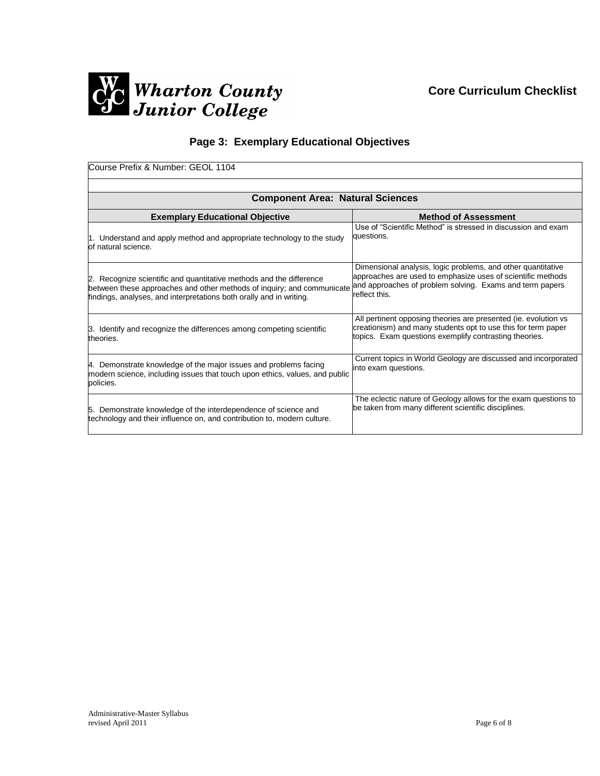

# **Page 3: Exemplary Educational Objectives**

| Course Prefix & Number: GEOL 1104                                                                                                                                                                                    |                                                                                                                                                                                                          |  |  |
|----------------------------------------------------------------------------------------------------------------------------------------------------------------------------------------------------------------------|----------------------------------------------------------------------------------------------------------------------------------------------------------------------------------------------------------|--|--|
|                                                                                                                                                                                                                      |                                                                                                                                                                                                          |  |  |
| <b>Component Area: Natural Sciences</b>                                                                                                                                                                              |                                                                                                                                                                                                          |  |  |
| <b>Exemplary Educational Objective</b>                                                                                                                                                                               | <b>Method of Assessment</b>                                                                                                                                                                              |  |  |
| 1. Understand and apply method and appropriate technology to the study<br>of natural science.                                                                                                                        | Use of "Scientific Method" is stressed in discussion and exam<br>questions.                                                                                                                              |  |  |
| 2. Recognize scientific and quantitative methods and the difference<br>between these approaches and other methods of inquiry; and communicate<br>findings, analyses, and interpretations both orally and in writing. | Dimensional analysis, logic problems, and other quantitative<br>approaches are used to emphasize uses of scientific methods<br>and approaches of problem solving. Exams and term papers<br>reflect this. |  |  |
| 3. Identify and recognize the differences among competing scientific<br>theories.                                                                                                                                    | All pertinent opposing theories are presented (ie. evolution vs.<br>creationism) and many students opt to use this for term paper<br>topics. Exam questions exemplify contrasting theories.              |  |  |
| 4. Demonstrate knowledge of the major issues and problems facing<br>modern science, including issues that touch upon ethics, values, and public<br>policies.                                                         | Current topics in World Geology are discussed and incorporated<br>into exam questions.                                                                                                                   |  |  |
| 5. Demonstrate knowledge of the interdependence of science and<br>technology and their influence on, and contribution to, modern culture.                                                                            | The eclectic nature of Geology allows for the exam questions to<br>be taken from many different scientific disciplines.                                                                                  |  |  |